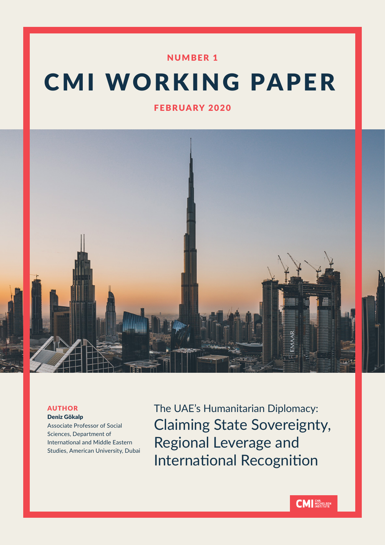# NUMBER 1

# CMI WORKING PAPER

FEBRUARY 2020



# AUTHOR

Deniz Gökalp Associate Professor of Social Sciences, Department of International and Middle Eastern Studies, American University, Dubai The UAE's Humanitarian Diplomacy: Claiming State Sovereignty, Regional Leverage and International Recognition

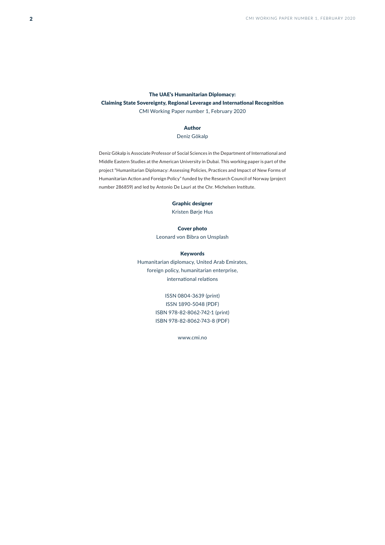# The UAE's Humanitarian Diplomacy: Claiming State Sovereignty, Regional Leverage and International Recognition CMI Working Paper number 1, February 2020

# Author

## Deniz Gökalp

Deniz Gökalp is Associate Professor of Social Sciences in the Department of International and Middle Eastern Studies at the American University in Dubai. This working paper is part of the project "Humanitarian Diplomacy: Assessing Policies, Practices and Impact of New Forms of Humanitarian Action and Foreign Policy" funded by the Research Council of Norway (project number 286859) and led by Antonio De Lauri at the Chr. Michelsen Institute.

#### Graphic designer

Kristen Børje Hus

#### Cover photo

Leonard von Bibra on Unsplash

#### Keywords

Humanitarian diplomacy, United Arab Emirates, foreign policy, humanitarian enterprise, international relations

# ISSN 0804-3639 (print)

ISSN 1890-5048 (PDF) ISBN 978-82-8062-742-1 (print) ISBN 978-82-8062-743-8 (PDF)

www.cmi.no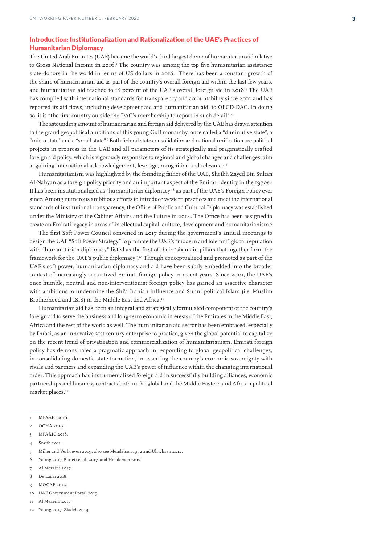# Introduction: Institutionalization and Rationalization of the UAE's Practices of Humanitarian Diplomacy

The United Arab Emirates (UAE) became the world's third-largest donor of humanitarian aid relative to Gross National Income in 2016.<sup>1</sup> The country was among the top five humanitarian assistance state-donors in the world in terms of US dollars in 2018.<sup>2</sup> There has been a constant growth of the share of humanitarian aid as part of the country's overall foreign aid within the last few years, and humanitarian aid reached to 18 percent of the UAE's overall foreign aid in 2018.<sup>3</sup> The UAE has complied with international standards for transparency and accountability since 2010 and has reported its aid flows, including development aid and humanitarian aid, to OECD-DAC. In doing so, it is "the first country outside the DAC's membership to report in such detail".4

The astounding amount of humanitarian and foreign aid delivered by the UAE has drawn attention to the grand geopolitical ambitions of this young Gulf monarchy, once called a "diminutive state", a "micro state" and a "small state".5 Both federal state consolidation and national unification are political projects in progress in the UAE and all parameters of its strategically and pragmatically crafted foreign aid policy, which is vigorously responsive to regional and global changes and challenges, aim at gaining international acknowledgement, leverage, recognition and relevance.<sup>6</sup>

Humanitarianism was highlighted by the founding father of the UAE, Sheikh Zayed Bin Sultan Al-Nahyan as a foreign policy priority and an important aspect of the Emirati identity in the 1970s.7 It has been institutionalized as "humanitarian diplomacy"<sup>8</sup> as part of the UAE's Foreign Policy ever since. Among numerous ambitious efforts to introduce western practices and meet the international standards of institutional transparency, the Office of Public and Cultural Diplomacy was established under the Ministry of the Cabinet Affairs and the Future in 2014. The Office has been assigned to create an Emirati legacy in areas of intellectual capital, culture, development and humanitarianism.9

The first Soft Power Council convened in 2017 during the government's annual meetings to design the UAE "Soft Power Strategy" to promote the UAE's "modern and tolerant" global reputation with "humanitarian diplomacy" listed as the first of their "six main pillars that together form the framework for the UAE's public diplomacy".10 Though conceptualized and promoted as part of the UAE's soft power, humanitarian diplomacy and aid have been subtly embedded into the broader context of increasingly securitized Emirati foreign policy in recent years. Since 2001, the UAE's once humble, neutral and non-interventionist foreign policy has gained an assertive character with ambitions to undermine the Shi'a Iranian influence and Sunni political Islam (i.e. Muslim Brotherhood and ISIS) in the Middle East and Africa.<sup>11</sup>

Humanitarian aid has been an integral and strategically formulated component of the country's foreign aid to serve the business and long-term economic interests of the Emirates in the Middle East, Africa and the rest of the world as well. The humanitarian aid sector has been embraced, especially by Dubai, as an innovative 21st century enterprise to practice, given the global potential to capitalize on the recent trend of privatization and commercialization of humanitarianism. Emirati foreign policy has demonstrated a pragmatic approach in responding to global geopolitical challenges, in consolidating domestic state formation, in asserting the country's economic sovereignty with rivals and partners and expanding the UAE's power of influence within the changing international order. This approach has instrumentalized foreign aid in successfully building alliances, economic partnerships and business contracts both in the global and the Middle Eastern and African political market places.<sup>12</sup>

- 3 MFA&IC 2018.
- 4 Smith 2011.
- 5 Miller and Verhoeven 2019, also see Mendelson 1972 and Ulrichsen 2012.
- 6 Young 2017, Barlett et al. 2017, and Henderson 2017.
- 7 Al Mezaini 2017.
- 8 De Lauri 2018.
- 9 MOCAF 2019.
- 10 UAE Government Portal 2019.
- 11 Al Mezeini 2017.
- 12 Young 2017, Ziadeh 2019.

<sup>1</sup> MFA&IC 2016.

<sup>2</sup> OCHA 2019.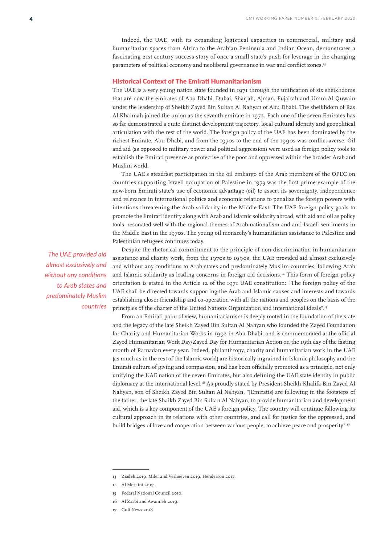Indeed, the UAE, with its expanding logistical capacities in commercial, military and humanitarian spaces from Africa to the Arabian Peninsula and Indian Ocean, demonstrates a fascinating 21st century success story of once a small state's push for leverage in the changing parameters of political economy and neoliberal governance in war and conflict zones.<sup>13</sup>

# Historical Context of The Emirati Humanitarianism

The UAE is a very young nation state founded in 1971 through the unification of six sheikhdoms that are now the emirates of Abu Dhabi, Dubai, Sharjah, Ajman, Fujairah and Umm Al Quwain under the leadership of Sheikh Zayed Bin Sultan Al Nahyan of Abu Dhabi. The sheikhdom of Ras Al Khaimah joined the union as the seventh emirate in 1972. Each one of the seven Emirates has so far demonstrated a quite distinct development trajectory, local cultural identity and geopolitical articulation with the rest of the world. The foreign policy of the UAE has been dominated by the richest Emirate, Abu Dhabi, and from the 1970s to the end of the 1990s was conflict-averse. Oil and aid (as opposed to military power and political aggression) were used as foreign policy tools to establish the Emirati presence as protective of the poor and oppressed within the broader Arab and Muslim world.

The UAE's steadfast participation in the oil embargo of the Arab members of the OPEC on countries supporting Israeli occupation of Palestine in 1973 was the first prime example of the new-born Emirati state's use of economic advantage (oil) to assert its sovereignty, independence and relevance in international politics and economic relations to penalize the foreign powers with intentions threatening the Arab solidarity in the Middle East. The UAE foreign policy goals to promote the Emirati identity along with Arab and Islamic solidarity abroad, with aid and oil as policy tools, resonated well with the regional themes of Arab nationalism and anti-Israeli sentiments in the Middle East in the 1970s. The young oil monarchy's humanitarian assistance to Palestine and Palestinian refugees continues today.

*The UAE provided aid almost exclusively and without any conditions to Arab states and predominately Muslim countries*

Despite the rhetorical commitment to the principle of non-discrimination in humanitarian assistance and charity work, from the 1970s to 1990s, the UAE provided aid almost exclusively and without any conditions to Arab states and predominately Muslim countries, following Arab and Islamic solidarity as leading concerns in foreign aid decisions.14 This form of foreign policy orientation is stated in the Article 12 of the 1971 UAE constitution: "The foreign policy of the UAE shall be directed towards supporting the Arab and Islamic causes and interests and towards establishing closer friendship and co-operation with all the nations and peoples on the basis of the principles of the charter of the United Nations Organization and international ideals".<sup>15</sup>

From an Emirati point of view, humanitarianism is deeply rooted in the foundation of the state and the legacy of the late Sheikh Zayed Bin Sultan Al Nahyan who founded the Zayed Foundation for Charity and Humanitarian Works in 1992 in Abu Dhabi, and is commemorated at the official Zayed Humanitarian Work Day/Zayed Day for Humanitarian Action on the 19th day of the fasting month of Ramadan every year. Indeed, philanthropy, charity and humanitarian work in the UAE (as much as in the rest of the Islamic world) are historically ingrained in Islamic philosophy and the Emirati culture of giving and compassion, and has been officially promoted as a principle, not only unifying the UAE nation of the seven Emirates, but also defining the UAE state identity in public diplomacy at the international level.16 As proudly stated by President Sheikh Khalifa Bin Zayed Al Nahyan, son of Sheikh Zayed Bin Sultan Al Nahyan, "[Emiratis] are following in the footsteps of the father, the late Shaikh Zayed Bin Sultan Al Nahyan, to provide humanitarian and development aid, which is a key component of the UAE's foreign policy. The country will continue following its cultural approach in its relations with other countries, and call for justice for the oppressed, and build bridges of love and cooperation between various people, to achieve peace and prosperity".17

<sup>13</sup> Ziadeh 2019, Miler and Verhoeven 2019, Henderson 2017.

<sup>14</sup> Al Mezaini 2017.

<sup>15</sup> Federal National Council 2010.

<sup>16</sup> Al Zaabi and Awamieh 2019.

Gulf News 2018.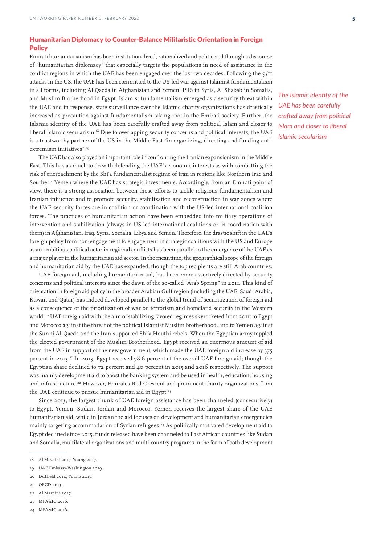# Humanitarian Diplomacy to Counter-Balance Militaristic Orientation in Foreign **Policy**

Emirati humanitarianism has been institutionalized, rationalized and politicized through a discourse of "humanitarian diplomacy" that especially targets the populations in need of assistance in the conflict regions in which the UAE has been engaged over the last two decades. Following the  $9/11$ attacks in the US, the UAE has been committed to the US-led war against Islamist fundamentalism in all forms, including Al Qaeda in Afghanistan and Yemen, ISIS in Syria, Al Shabab in Somalia, and Muslim Brotherhood in Egypt. Islamist fundamentalism emerged as a security threat within the UAE and in response, state surveillance over the Islamic charity organizations has drastically increased as precaution against fundamentalism taking root in the Emirati society. Further, the Islamic identity of the UAE has been carefully crafted away from political Islam and closer to liberal Islamic secularism.<sup>18</sup> Due to overlapping security concerns and political interests, the UAE is a trustworthy partner of the US in the Middle East "in organizing, directing and funding antiextremism initiatives".<sup>19</sup>

The UAE has also played an important role in confronting the Iranian expansionism in the Middle East. This has as much to do with defending the UAE's economic interests as with combatting the risk of encroachment by the Shi'a fundamentalist regime of Iran in regions like Northern Iraq and Southern Yemen where the UAE has strategic investments. Accordingly, from an Emirati point of view, there is a strong association between those efforts to tackle religious fundamentalism and Iranian influence and to promote security, stabilization and reconstruction in war zones where the UAE security forces are in coalition or coordination with the US-led international coalition forces. The practices of humanitarian action have been embedded into military operations of intervention and stabilization (always in US-led international coalitions or in coordination with them) in Afghanistan, Iraq, Syria, Somalia, Libya and Yemen. Therefore, the drastic shift in the UAE's foreign policy from non-engagement to engagement in strategic coalitions with the US and Europe as an ambitious political actor in regional conflicts has been parallel to the emergence of the UAE as a major player in the humanitarian aid sector. In the meantime, the geographical scope of the foreign and humanitarian aid by the UAE has expanded, though the top recipients are still Arab countries.

UAE foreign aid, including humanitarian aid, has been more assertively directed by security concerns and political interests since the dawn of the so-called "Arab Spring" in 2011. This kind of orientation in foreign aid policy in the broader Arabian Gulf region (including the UAE, Saudi Arabia, Kuwait and Qatar) has indeed developed parallel to the global trend of securitization of foreign aid as a consequence of the prioritization of war on terrorism and homeland security in the Western world.<sup>20</sup> UAE foreign aid with the aim of stabilizing favored regimes skyrocketed from 2011: to Egypt and Morocco against the threat of the political Islamist Muslim brotherhood, and to Yemen against the Sunni Al-Qaeda and the Iran-supported Shi'a Houthi rebels. When the Egyptian army toppled the elected government of the Muslim Brotherhood, Egypt received an enormous amount of aid from the UAE in support of the new government, which made the UAE foreign aid increase by 375 percent in 2013.21 In 2013, Egypt received 78.6 percent of the overall UAE foreign aid; though the Egyptian share declined to 72 percent and 40 percent in 2015 and 2016 respectively. The support was mainly development aid to boost the banking system and be used in health, education, housing and infrastructure.<sup>22</sup> However, Emirates Red Crescent and prominent charity organizations from the UAE continue to pursue humanitarian aid in Egypt.<sup>23</sup>

Since 2013, the largest chunk of UAE foreign assistance has been channeled (consecutively) to Egypt, Yemen, Sudan, Jordan and Morocco. Yemen receives the largest share of the UAE humanitarian aid, while in Jordan the aid focuses on development and humanitarian emergencies mainly targeting accommodation of Syrian refugees.24 As politically motivated development aid to Egypt declined since 2015, funds released have been channeled to East African countries like Sudan and Somalia, multilateral organizations and multi-country programs in the form of both development

- 20 Duffield 2014, Young 2017.
- 21 OECD 2013.
- 22 Al Mazeini 2017.
- 23 MFA&IC 2016.
- 24 MFA&IC 2016.

*The Islamic identity of the UAE has been carefully crafted away from political Islam and closer to liberal Islamic secularism*

<sup>18</sup> Al Mezaini 2017, Young 2017.

<sup>19</sup> UAE Embassy-Washington 2019.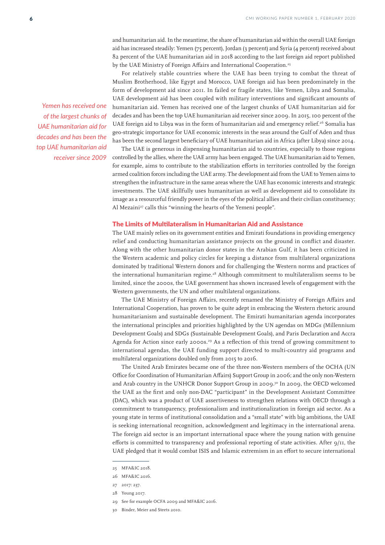and humanitarian aid. In the meantime, the share of humanitarian aid within the overall UAE foreign aid has increased steadily: Yemen (75 percent), Jordan (3 percent) and Syria (4 percent) received about 82 percent of the UAE humanitarian aid in 2018 according to the last foreign aid report published by the UAE Ministry of Foreign Affairs and International Cooperation.<sup>25</sup>

For relatively stable countries where the UAE has been trying to combat the threat of Muslim Brotherhood, like Egypt and Morocco, UAE foreign aid has been predominately in the form of development aid since 2011. In failed or fragile states, like Yemen, Libya and Somalia, UAE development aid has been coupled with military interventions and significant amounts of humanitarian aid. Yemen has received one of the largest chunks of UAE humanitarian aid for decades and has been the top UAE humanitarian aid receiver since 2009. In 2015, 100 percent of the UAE foreign aid to Libya was in the form of humanitarian aid and emergency relief.<sup>26</sup> Somalia has geo-strategic importance for UAE economic interests in the seas around the Gulf of Aden and thus has been the second largest beneficiary of UAE humanitarian aid in Africa (after Libya) since 2014.

The UAE is generous in dispensing humanitarian aid to countries, especially to those regions controlled by the allies, where the UAE army has been engaged. The UAE humanitarian aid to Yemen, for example, aims to contribute to the stabilization efforts in territories controlled by the foreign armed coalition forces including the UAE army. The development aid from the UAE to Yemen aims to strengthen the infrastructure in the same areas where the UAE has economic interests and strategic investments. The UAE skillfully uses humanitarian as well as development aid to consolidate its image as a resourceful friendly power in the eyes of the political allies and their civilian constituency; Al Mezaini<sup>27</sup> calls this "winning the hearts of the Yemeni people".

# The Limits of Multilateralism in Humanitarian Aid and Assistance

The UAE mainly relies on its government entities and Emirati foundations in providing emergency relief and conducting humanitarian assistance projects on the ground in conflict and disaster. Along with the other humanitarian donor states in the Arabian Gulf, it has been criticized in the Western academic and policy circles for keeping a distance from multilateral organizations dominated by traditional Western donors and for challenging the Western norms and practices of the international humanitarian regime.<sup>28</sup> Although commitment to multilateralism seems to be limited, since the 2000s, the UAE government has shown increased levels of engagement with the Western governments, the UN and other multilateral organizations.

The UAE Ministry of Foreign Affairs, recently renamed the Ministry of Foreign Affairs and International Cooperation, has proven to be quite adept in embracing the Western rhetoric around humanitarianism and sustainable development. The Emirati humanitarian agenda incorporates the international principles and priorities highlighted by the UN agendas on MDGs (Millennium Development Goals) and SDGs (Sustainable Development Goals), and Paris Declaration and Accra Agenda for Action since early 2000s.<sup>29</sup> As a reflection of this trend of growing commitment to international agendas, the UAE funding support directed to multi-country aid programs and multilateral organizations doubled only from 2015 to 2016.

The United Arab Emirates became one of the three non-Western members of the OCHA (UN Office for Coordination of Humanitarian Affairs) Support Group in 2006; and the only non-Western and Arab country in the UNHCR Donor Support Group in 2009.<sup>30</sup> In 2009, the OECD welcomed the UAE as the first and only non-DAC "participant" in the Development Assistant Committee (DAC), which was a product of UAE assertiveness to strengthen relations with OECD through a commitment to transparency, professionalism and institutionalization in foreign aid sector. As a young state in terms of institutional consolidation and a "small state" with big ambitions, the UAE is seeking international recognition, acknowledgment and legitimacy in the international arena. The foreign aid sector is an important international space where the young nation with genuine efforts is committed to transparency and professional reporting of state activities. After  $9/11$ , the UAE pledged that it would combat ISIS and Islamic extremism in an effort to secure international

- 29 See for example OCFA 2009 and MFA&IC 2016.
- 30 Binder, Meier and Steets 2010.

*Yemen has received one of the largest chunks of UAE humanitarian aid for decades and has been the top UAE humanitarian aid receiver since 2009*

<sup>25</sup> MFA&IC 2018.

<sup>26</sup> MFA&IC 2016.

<sup>27</sup> 2017: 237.

<sup>28</sup> Young 2017.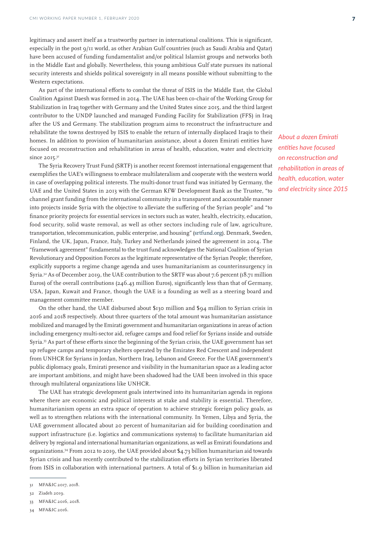legitimacy and assert itself as a trustworthy partner in international coalitions. This is significant, especially in the post 9/11 world, as other Arabian Gulf countries (such as Saudi Arabia and Qatar) have been accused of funding fundamentalist and/or political Islamist groups and networks both in the Middle East and globally. Nevertheless, this young ambitious Gulf state pursues its national security interests and shields political sovereignty in all means possible without submitting to the Western expectations.

As part of the international efforts to combat the threat of ISIS in the Middle East, the Global Coalition Against Daesh was formed in 2014. The UAE has been co-chair of the Working Group for Stabilization in Iraq together with Germany and the United States since 2015, and the third largest contributor to the UNDP launched and managed Funding Facility for Stabilization (FFS) in Iraq after the US and Germany. The stabilization program aims to reconstruct the infrastructure and rehabilitate the towns destroyed by ISIS to enable the return of internally displaced Iraqis to their homes. In addition to provision of humanitarian assistance, about a dozen Emirati entities have focused on reconstruction and rehabilitation in areas of health, education, water and electricity since 2015.<sup>31</sup>

The Syria Recovery Trust Fund (SRTF) is another recent foremost international engagement that exemplifies the UAE's willingness to embrace multilateralism and cooperate with the western world in case of overlapping political interests. The multi-donor trust fund was initiated by Germany, the UAE and the United States in 2013 with the German KfW Development Bank as the Trustee, "to channel grant funding from the international community in a transparent and accountable manner into projects inside Syria with the objective to alleviate the suffering of the Syrian people" and "to finance priority projects for essential services in sectors such as water, health, electricity, education, food security, solid waste removal, as well as other sectors including rule of law, agriculture, transportation, telecommunication, public enterprise, and housing" (srtfund.org). Denmark, Sweden, Finland, the UK, Japan, France, Italy, Turkey and Netherlands joined the agreement in 2014. The "framework agreement" fundamental to the trust fund acknowledges the National Coalition of Syrian Revolutionary and Opposition Forces as the legitimate representative of the Syrian People; therefore, explicitly supports a regime change agenda and uses humanitarianism as counterinsurgency in Syria.32 As of December 2019, the UAE contribution to the SRTF was about 7.6 percent (18.71 million Euros) of the overall contributions  $(246.43 \text{ million Euros})$ , significantly less than that of Germany, USA, Japan, Kuwait and France, though the UAE is a founding as well as a steering board and management committee member.

On the other hand, the UAE disbursed about \$130 million and \$94 million to Syrian crisis in 2016 and 2018 respectively. About three quarters of the total amount was humanitarian assistance mobilized and managed by the Emirati government and humanitarian organizations in areas of action including emergency multi-sector aid, refugee camps and food relief for Syrians inside and outside Syria.33 As part of these efforts since the beginning of the Syrian crisis, the UAE government has set up refugee camps and temporary shelters operated by the Emirates Red Crescent and independent from UNHCR for Syrians in Jordan, Northern Iraq, Lebanon and Greece. For the UAE government's public diplomacy goals, Emirati presence and visibility in the humanitarian space as a leading actor are important ambitions, and might have been shadowed had the UAE been involved in this space through multilateral organizations like UNHCR.

The UAE has strategic development goals intertwined into its humanitarian agenda in regions where there are economic and political interests at stake and stability is essential. Therefore, humanitarianism opens an extra space of operation to achieve strategic foreign policy goals, as well as to strengthen relations with the international community. In Yemen, Libya and Syria, the UAE government allocated about 20 percent of humanitarian aid for building coordination and support infrastructure (i.e. logistics and communications systems) to facilitate humanitarian aid delivery by regional and international humanitarian organizations, as well as Emirati foundations and organizations.34 From 2012 to 2019, the UAE provided about \$4.73 billion humanitarian aid towards Syrian crisis and has recently contributed to the stabilization efforts in Syrian territories liberated from ISIS in collaboration with international partners. A total of \$1.9 billion in humanitarian aid

*About a dozen Emirati entities have focused on reconstruction and rehabilitation in areas of health, education, water and electricity since 2015*

<sup>31</sup> MFA&IC 2017, 2018.

<sup>32</sup> Ziadeh 2019.

<sup>33</sup> MFA&IC 2016, 2018.

<sup>34</sup> MFA&IC 2016.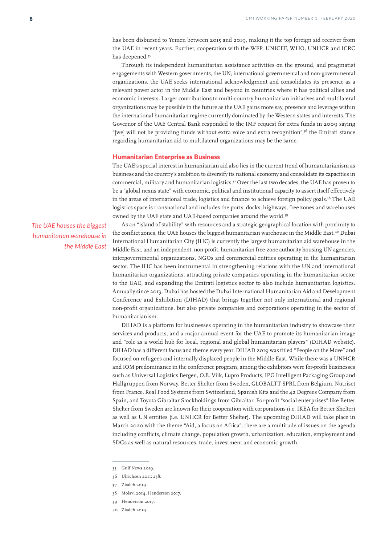has been disbursed to Yemen between 2015 and 2019, making it the top foreign aid receiver from the UAE in recent years. Further, cooperation with the WFP, UNICEF, WHO, UNHCR and ICRC has deepened.35

Through its independent humanitarian assistance activities on the ground, and pragmatist engagements with Western governments, the UN, international governmental and non-governmental organizations, the UAE seeks international acknowledgment and consolidates its presence as a relevant power actor in the Middle East and beyond in countries where it has political allies and economic interests. Larger contributions to multi-country humanitarian initiatives and multilateral organizations may be possible in the future as the UAE gains more say, presence and leverage within the international humanitarian regime currently dominated by the Western states and interests. The Governor of the UAE Central Bank responded to the IMF request for extra funds in 2009 saying "[we] will not be providing funds without extra voice and extra recognition",36 the Emirati stance regarding humanitarian aid to multilateral organizations may be the same.

## Humanitarian Enterprise as Business

The UAE's special interest in humanitarian aid also lies in the current trend of humanitarianism as business and the country's ambition to diversify its national economy and consolidate its capacities in commercial, military and humanitarian logistics.37 Over the last two decades, the UAE has proven to be a "global nexus state" with economic, political and institutional capacity to assert itself effectively in the areas of international trade, logistics and finance to achieve foreign policy goals.<sup>38</sup> The UAE logistics space is transnational and includes the ports, docks, highways, free zones and warehouses owned by the UAE state and UAE-based companies around the world.39

*The UAE houses the biggest humanitarian warehouse in the Middle East*

As an "island of stability" with resources and a strategic geographical location with proximity to the conflict zones, the UAE houses the biggest humanitarian warehouse in the Middle East.<sup>40</sup> Dubai International Humanitarian City (IHC) is currently the largest humanitarian aid warehouse in the Middle East, and an independent, non-profit, humanitarian free-zone authority housing UN agencies, intergovernmental organizations, NGOs and commercial entities operating in the humanitarian sector. The IHC has been instrumental in strengthening relations with the UN and international humanitarian organizations, attracting private companies operating in the humanitarian sector to the UAE, and expanding the Emirati logistics sector to also include humanitarian logistics. Annually since 2013, Dubai has hosted the Dubai International Humanitarian Aid and Development Conference and Exhibition (DIHAD) that brings together not only international and regional non-profit organizations, but also private companies and corporations operating in the sector of humanitarianism.

DIHAD is a platform for businesses operating in the humanitarian industry to showcase their services and products, and a major annual event for the UAE to promote its humanitarian image and "role as a world hub for local, regional and global humanitarian players" (DIHAD website). DIHAD has a different focus and theme every year. DIHAD 2019 was titled "People on the Move" and focused on refugees and internally displaced people in the Middle East. While there was a UNHCR and IOM predominance in the conference program, among the exhibitors were for-profit businesses such as Universal Logistics Bergen, O.B. Viik, Lupro Products, IPG Intelligent Packaging Group and Hallgruppen from Norway, Better Shelter from Sweden, GLOBALTT SPRL from Belgium, Nutriset from France, Real Food Systems from Switzerland, Spanish Kits and the 42 Degrees Company from Spain, and Toyota Gibraltar Stockholdings from Gibraltar. For-profit "social enterprises" like Better Shelter from Sweden are known for their cooperation with corporations (i.e. IKEA for Better Shelter) as well as UN entities (i.e. UNHCR for Better Shelter). The upcoming DIHAD will take place in March 2020 with the theme "Aid, a focus on Africa"; there are a multitude of issues on the agenda including conflicts, climate change, population growth, urbanization, education, employment and SDGs as well as natural resources, trade, investment and economic growth.

- 38 Molavi 2014, Henderson 2017.
- 39 Henderson 2017.
- 40 Ziadeh 2019.

<sup>35</sup> Gulf News 2019.

<sup>36</sup> Ulrichsen 2011: 238.

<sup>37</sup> Ziadeh 2019.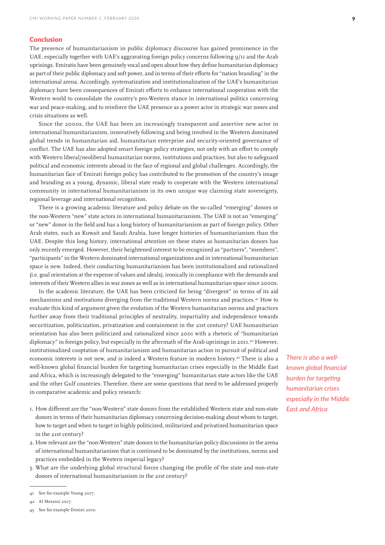# **Conclusion**

The presence of humanitarianism in public diplomacy discourse has gained prominence in the UAE, especially together with UAE's aggravating foreign policy concerns following 9/11 and the Arab uprisings. Emiratis have been genuinely vocal and open about how they define humanitarian diplomacy as part of their public diplomacy and soft power, and in terms of their efforts for "nation branding" in the international arena. Accordingly, systematization and institutionalization of the UAE's humanitarian diplomacy have been consequences of Emirati efforts to enhance international cooperation with the Western world to consolidate the country's pro-Western stance in international politics concerning war and peace-making, and to reinforce the UAE presence as a power actor in strategic war zones and crisis situations as well.

Since the 2000s, the UAE has been an increasingly transparent and assertive new actor in international humanitarianism, innovatively following and being involved in the Western dominated global trends in humanitarian aid, humanitarian enterprise and security-oriented governance of conflict. The UAE has also adopted smart foreign policy strategies, not only with an effort to comply with Western liberal/neoliberal humanitarian norms, institutions and practices, but also to safeguard political and economic interests abroad in the face of regional and global challenges. Accordingly, the humanitarian face of Emirati foreign policy has contributed to the promotion of the country's image and branding as a young, dynamic, liberal state ready to cooperate with the Western international community in international humanitarianism in its own unique way claiming state sovereignty, regional leverage and international recognition.

There is a growing academic literature and policy debate on the so-called "emerging" donors or the non-Western "new" state actors in international humanitarianism. The UAE is not an "emerging" or "new" donor in the field and has a long history of humanitarianism as part of foreign policy. Other Arab states, such as Kuwait and Saudi Arabia, have longer histories of humanitarianism than the UAE. Despite this long history, international attention on these states as humanitarian donors has only recently emerged. However, their heightened interest to be recognized as "partners", "members", "participants" in the Western dominated international organizations and in international humanitarian space is new. Indeed, their conducting humanitarianism has been institutionalized and rationalized (i.e. goal orientation at the expense of values and ideals), ironically in compliance with the demands and interests of their Western allies in war zones as well as in international humanitarian space since 2000s.

In the academic literature, the UAE has been criticized for being "divergent" in terms of its aid mechanisms and motivations diverging from the traditional Western norms and practices.41 How to evaluate this kind of argument given the evolution of the Western humanitarian norms and practices further away from their traditional principles of neutrality, impartiality and independence towards securitization, politicization, privatization and containment in the 21st century? UAE humanitarian orientation has also been politicized and rationalized since 2001 with a rhetoric of "humanitarian diplomacy" in foreign policy, but especially in the aftermath of the Arab uprisings in 2011.<sup>42</sup> However, institutionalized cooptation of humanitarianism and humanitarian action in pursuit of political and economic interests is not new, and is indeed a Western feature in modern history.43 There is also a well-known global financial burden for targeting humanitarian crises especially in the Middle East and Africa, which is increasingly delegated to the "emerging" humanitarian state actors like the UAE and the other Gulf countries. Therefore, there are some questions that need to be addressed properly in comparative academic and policy research:

- 1. How different are the "non-Western" state donors from the established Western state and non-state donors in terms of their humanitarian diplomacy concerning decision-making about whom to target, how to target and when to target in highly politicized, militarized and privatized humanitarian space in the 21st century?
- 2. How relevant are the "non-Western" state donors to the humanitarian policy discussions in the arena of international humanitarianism that is continued to be dominated by the institutions, norms and practices embedded in the Western imperial legacy?
- 3. What are the underlying global structural forces changing the profile of the state and non-state donors of international humanitarianism in the 21st century?

42 Al Mezaini 2017.

*There is also a wellknown global financial burden for targeting humanitarian crises especially in the Middle East and Africa*

<sup>41</sup> See for example Young 2017.

<sup>43</sup> See for example Donini 2010.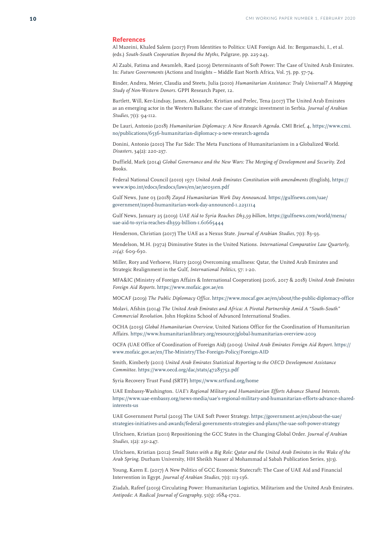#### **References**

Al Mazeini, Khaled Salem (2017) From Identities to Politics: UAE Foreign Aid. In: Bergamaschi, I., et al. (eds.) *South-South Cooperation Beyond the Myths*, Palgrave, pp. 225-243.

Al Zaabi, Fatima and Awamleh, Raed (2019) Determinants of Soft Power: The Case of United Arab Emirates. In: *Future Governments* (Actions and Insights – Middle East North Africa, Vol. 7), pp. 57-74.

Binder, Andrea, Meier, Claudia and Steets, Julia (2010) *Humanitarian Assistance: Truly Universal? A Mapping Study of Non-Western Donors*. GPPI Research Paper, 12.

Bartlett, Will, Ker-Lindsay, James, Alexander, Kristian and Prelec, Tena (2017) The United Arab Emirates as an emerging actor in the Western Balkans: the case of strategic investment in Serbia. *Journal of Arabian Studies*, 7(1): 94-112.

De Lauri, Antonio (2018) *Humanitarian Diplomacy: A New Research Agenda*. CMI Brief, 4, https://www.cmi. no/publications/6536-humanitarian-diplomacy-a-new-research-agenda

Donini, Antonio (2010) The Far Side: The Meta Functions of Humanitarianism in a Globalized World. *Disasters*, 34(2): 220-237.

Duffield, Mark (2014) *Global Governance and the New Wars: The Merging of Development and Security*. Zed Books.

Federal National Council (2010) *1971 United Arab Emirates Constitution with amendments* (English), https:// www.wipo.int/edocs/lexdocs/laws/en/ae/ae031en.pdf

Gulf News, June 03 (2018) *Zayed Humanitarian Work Day Announced*. https://gulfnews.com/uae/ government/zayed-humanitarian-work-day-announced-1.2231114

Gulf News, January 25 (2019) *UAE Aid to Syria Reaches Dh3,59 billion*, https://gulfnews.com/world/mena/ uae-aid-to-syria-reaches-dh359-billion-1.61665444

Henderson, Christian (2017) The UAE as a Nexus State. *Journal of Arabian Studies*, 7(1): 83-93.

Mendelson, M.H. (1972) Diminutive States in the United Nations. *International Comparative Law Quarterly, 21(4)*: 609-630.

Miller, Rory and Verhoeve, Harry (2019) Overcoming smallness: Qatar, the United Arab Emirates and Strategic Realignment in the Gulf, *International Politics*, 57: 1-20.

MFA&IC (Ministry of Foreign Affairs & International Cooperation) (2016, 2017 & 2018) *United Arab Emirates Foreign Aid Reports*. https://www.mofaic.gov.ae/en

MOCAF (2019) *The Public Diplomacy Office*. https://www.mocaf.gov.ae/en/about/the-public-diplomacy-office

Molavi, Afshin (2014) *The United Arab Emirates and Africa: A Pivotal Partnership Amid A "South-South" Commercial Revolution*. John Hopkins School of Advanced International Studies.

OCHA (2019) *Global Humanitarian Overview*, United Nations Office for the Coordination of Humanitarian Affairs. https://www.humanitarianlibrary.org/resource/global-humanitarian-overview-2019

OCFA (UAE Office of Coordination of Foreign Aid) (2009) *United Arab Emirates Foreign Aid Report*. https:// www.mofaic.gov.ae/en/The-Ministry/The-Foreign-Policy/Foreign-AID

Smith, Kimberly (2011) *United Arab Emirates Statistical Reporting to the OECD Development Assistance Committee*. https://www.oecd.org/dac/stats/47283752.pdf

Syria Recovery Trust Fund (SRTF) https://www.srtfund.org/home

UAE Embassy-Washington. *UAE's Regional Military and Humanitarian Efforts Advance Shared Interests*. https://www.uae-embassy.org/news-media/uae's-regional-military-and-humanitarian-efforts-advance-sharedinterests-us

UAE Government Portal (2019) The UAE Soft Power Strategy. https://government.ae/en/about-the-uae/ strategies-initiatives-and-awards/federal-governments-strategies-and-plans/the-uae-soft-power-strategy

Ulrichsen, Kristian (2011) Repositioning the GCC States in the Changing Global Order. *Journal of Arabian Studies*, 1(2): 231-247.

Ulrichsen, Kristian (2012) *Small States with a Big Role: Qatar and the United Arab Emirates in the Wake of the Arab Spring*. Durham University, HH Sheikh Nasser al Mohammad al Sabah Publication Series, 3(13).

Young, Karen E. (2017) A New Politics of GCC Economic Statecraft: The Case of UAE Aid and Financial Intervention in Egypt. *Journal of Arabian Studies*, 7(1): 113-136.

Ziadah, Rafeef (2019) Circulating Power: Humanitarian Logistics, Militarism and the United Arab Emirates. *Antipode: A Radical Journal of Geography*, 51(5): 1684-1702.